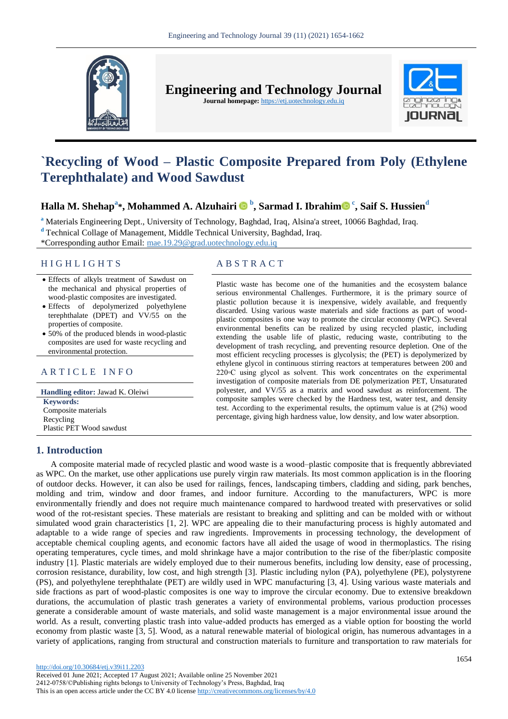

**Engineering and Technology Journal** 

**Journal homepage:** https://etj.uotechnology.edu.iq



# **`Recycling of Wood – Plastic Composite Prepared from Poly (Ethylene Terephthalate) and Wood Sawdust**

# **Halla M. Shehap<sup>a</sup> \*, Mohammed A. Alzuhairi <sup>b</sup> , Sarmad I. Ibrahi[m](https://orcid.org/0000-0001-6732-8324) <sup>c</sup> , Saif S. Hussien<sup>d</sup>**

**<sup>a</sup>** Materials Engineering Dept., University of Technology, Baghdad, Iraq, Alsina'a street, 10066 Baghdad, Iraq.

**<sup>d</sup>** Technical Collage of Management, Middle Technical University, Baghdad, Iraq.

\*Corresponding author Email: mae.19.29@grad.uotechnology.edu.iq

## H I G H L I G H T S A B S T R A C T

- Effects of alkyls treatment of Sawdust on the mechanical and physical properties of wood-plastic composites are investigated.
- Effects of depolymerized polyethylene terephthalate (DPET) and VV/55 on the properties of composite.
- 50% of the produced blends in wood-plastic composites are used for waste recycling and environmental protection.

## ARTICLE INFO

**Handling editor:** Jawad K. Oleiwi **Keywords:** Composite materials Recycling Plastic PET Wood sawdust

Plastic waste has become one of the humanities and the ecosystem balance serious environmental Challenges. Furthermore, it is the primary source of plastic pollution because it is inexpensive, widely available, and frequently discarded. Using various waste materials and side fractions as part of woodplastic composites is one way to promote the circular economy (WPC). Several environmental benefits can be realized by using recycled plastic, including extending the usable life of plastic, reducing waste, contributing to the development of trash recycling, and preventing resource depletion. One of the most efficient recycling processes is glycolysis; the (PET) is depolymerized by ethylene glycol in continuous stirring reactors at temperatures between 200 and 220◦C using glycol as solvent. This work concentrates on the experimental investigation of composite materials from DE polymerization PET, Unsaturated polyester, and VV/55 as a matrix and wood sawdust as reinforcement. The composite samples were checked by the Hardness test, water test, and density test. According to the experimental results, the optimum value is at (2%) wood percentage, giving high hardness value, low density, and low water absorption.

# **1. Introduction**

A composite material made of recycled plastic and wood waste is a wood–plastic composite that is frequently abbreviated as WPC. On the market, use other applications use purely virgin raw materials. Its most common application is in the flooring of outdoor decks. However, it can also be used for railings, fences, landscaping timbers, cladding and siding, park benches, molding and trim, window and door frames, and indoor furniture. According to the manufacturers, WPC is more environmentally friendly and does not require much maintenance compared to hardwood treated with preservatives or solid wood of the rot-resistant species. These materials are resistant to breaking and splitting and can be molded with or without simulated wood grain characteristics [1, 2]. WPC are appealing die to their manufacturing process is highly automated and adaptable to a wide range of species and raw ingredients. Improvements in processing technology, the development of acceptable chemical coupling agents, and economic factors have all aided the usage of wood in thermoplastics. The rising operating temperatures, cycle times, and mold shrinkage have a major contribution to the rise of the fiber/plastic composite industry [1]. Plastic materials are widely employed due to their numerous benefits, including low density, ease of processing, corrosion resistance, durability, low cost, and high strength [3]. Plastic including nylon (PA), polyethylene (PE), polystyrene (PS), and polyethylene terephthalate (PET) are wildly used in WPC manufacturing [3, 4]. Using various waste materials and side fractions as part of wood-plastic composites is one way to improve the circular economy. Due to extensive breakdown durations, the accumulation of plastic trash generates a variety of environmental problems, various production processes generate a considerable amount of waste materials, and solid waste management is a major environmental issue around the world. As a result, converting plastic trash into value-added products has emerged as a viable option for boosting the world economy from plastic waste [3, 5]. Wood, as a natural renewable material of biological origin, has numerous advantages in a variety of applications, ranging from structural and construction materials to furniture and transportation to raw materials for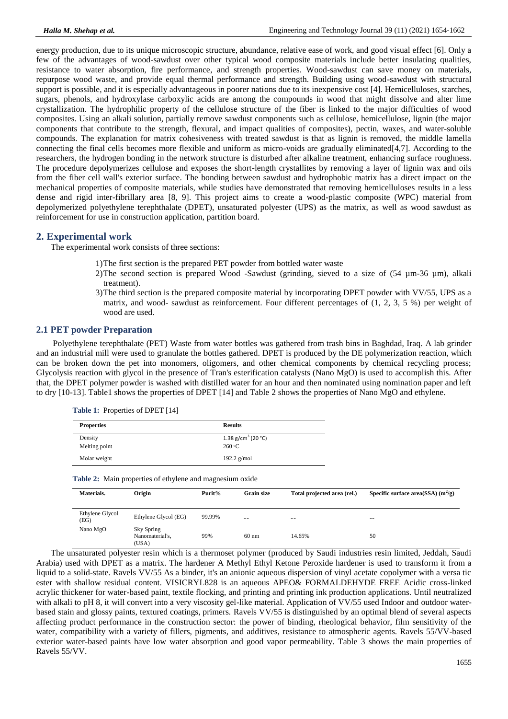energy production, due to its unique microscopic structure, abundance, relative ease of work, and good visual effect [6]. Only a few of the advantages of wood-sawdust over other typical wood composite materials include better insulating qualities, resistance to water absorption, fire performance, and strength properties. Wood-sawdust can save money on materials, repurpose wood waste, and provide equal thermal performance and strength. Building using wood-sawdust with structural support is possible, and it is especially advantageous in poorer nations due to its inexpensive cost [4]. Hemicelluloses, starches, sugars, phenols, and hydroxylase carboxylic acids are among the compounds in wood that might dissolve and alter lime crystallization. The hydrophilic property of the cellulose structure of the fiber is linked to the major difficulties of wood composites. Using an alkali solution, partially remove sawdust components such as cellulose, hemicellulose, lignin (the major components that contribute to the strength, flexural, and impact qualities of composites), pectin, waxes, and water-soluble compounds. The explanation for matrix cohesiveness with treated sawdust is that as lignin is removed, the middle lamella connecting the final cells becomes more flexible and uniform as micro-voids are gradually eliminated[4,7]. According to the researchers, the hydrogen bonding in the network structure is disturbed after alkaline treatment, enhancing surface roughness. The procedure depolymerizes cellulose and exposes the short-length crystallites by removing a layer of lignin wax and oils from the fiber cell wall's exterior surface. The bonding between sawdust and hydrophobic matrix has a direct impact on the mechanical properties of composite materials, while studies have demonstrated that removing hemicelluloses results in a less dense and rigid inter-fibrillary area [8, 9]. This project aims to create a wood-plastic composite (WPC) material from depolymerized polyethylene terephthalate (DPET), unsaturated polyester (UPS) as the matrix, as well as wood sawdust as reinforcement for use in construction application, partition board.

## **2. Experimental work**

The experimental work consists of three sections:

**Table 1:** Properties of DPET [14]

- 1)The first section is the prepared PET powder from bottled water waste
- 2)The second section is prepared Wood -Sawdust (grinding, sieved to a size of  $(54 \mu m-36 \mu m)$ , alkali treatment).
- 3)The third section is the prepared composite material by incorporating DPET powder with VV/55, UPS as a matrix, and wood- sawdust as reinforcement. Four different percentages of (1, 2, 3, 5 %) per weight of wood are used.

#### **2.1 PET powder Preparation**

Polyethylene terephthalate (PET) Waste from water bottles was gathered from trash bins in Baghdad, Iraq. A lab grinder and an industrial mill were used to granulate the bottles gathered. DPET is produced by the DE polymerization reaction, which can be broken down the pet into monomers, oligomers, and other chemical components by chemical recycling process; Glycolysis reaction with glycol in the presence of Tran's esterification catalysts (Nano MgO) is used to accomplish this. After that, the DPET polymer powder is washed with distilled water for an hour and then nominated using nomination paper and left to dry [10-13]. Table1 shows the properties of DPET [14] and Table 2 shows the properties of Nano MgO and ethylene.

| <b>Properties</b> | <b>Results</b>                 |  |
|-------------------|--------------------------------|--|
| Density           | 1.38 g/cm <sup>3</sup> (20 °C) |  |
| Melting point     | 260 °C                         |  |
| Molar weight      | 192.2 $g/mol$                  |  |

**Table 2:** Main properties of ethylene and magnesium oxide

| Materials.              | Origin                                 | Purit% | Grain size      | Total projected area (rel.) | Specific surface area(SSA) $(m^2/g)$ |
|-------------------------|----------------------------------------|--------|-----------------|-----------------------------|--------------------------------------|
|                         |                                        |        |                 |                             |                                      |
| Ethylene Glycol<br>(EG) | Ethylene Glycol (EG)                   | 99.99% | $-$             | $- -$                       | --                                   |
| Nano MgO                | Sky Spring<br>Nanomaterial's,<br>(USA) | 99%    | $60 \text{ nm}$ | 14.65%                      | 50                                   |

The unsaturated polyester resin which is a thermoset polymer (produced by Saudi industries resin limited, Jeddah, Saudi Arabia) used with DPET as a matrix. The hardener A Methyl Ethyl Ketone Peroxide hardener is used to transform it from a liquid to a solid-state. Ravels VV/55 As a binder, it's an anionic aqueous dispersion of vinyl acetate copolymer with a versa tic ester with shallow residual content. VISICRYL828 is an aqueous APEO& FORMALDEHYDE FREE Acidic cross-linked acrylic thickener for water-based paint, textile flocking, and printing and printing ink production applications. Until neutralized with alkali to pH 8, it will convert into a very viscosity gel-like material. Application of VV/55 used Indoor and outdoor waterbased stain and glossy paints, textured coatings, primers. Ravels VV/55 is distinguished by an optimal blend of several aspects affecting product performance in the construction sector: the power of binding, rheological behavior, film sensitivity of the water, compatibility with a variety of fillers, pigments, and additives, resistance to atmospheric agents. Ravels 55/VV-based exterior water-based paints have low water absorption and good vapor permeability. Table 3 shows the main properties of Ravels 55/VV.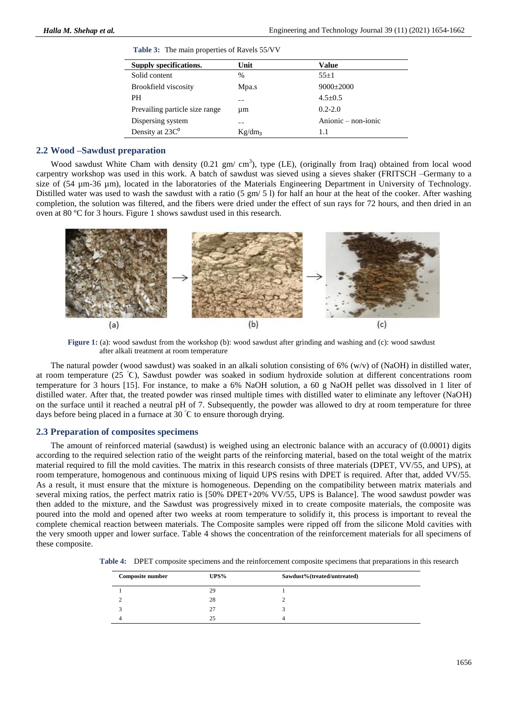| Supply specifications.         | Unit               | Value               |
|--------------------------------|--------------------|---------------------|
| Solid content                  | $\%$               | $55+1$              |
| <b>Brookfield viscosity</b>    | Mpa.s              | $9000+2000$         |
| <b>PH</b>                      |                    | $4.5 + 0.5$         |
| Prevailing particle size range | um                 | $0.2 - 2.0$         |
| Dispersing system              |                    | Anionic – non-ionic |
| Density at 23C <sup>0</sup>    | Kg/dm <sub>3</sub> | 1.1                 |

**Table 3:** The main properties of Ravels 55/VV

#### **2.2 Wood –Sawdust preparation**

Wood sawdust White Cham with density  $(0.21 \text{ gm/cm}^3)$ , type (LE), (originally from Iraq) obtained from local wood carpentry workshop was used in this work. A batch of sawdust was sieved using a sieves shaker (FRITSCH –Germany to a size of (54 µm-36 µm), located in the laboratories of the Materials Engineering Department in University of Technology. Distilled water was used to wash the sawdust with a ratio  $(5 \text{ gm} / 5 \text{ l})$  for half an hour at the heat of the cooker. After washing completion, the solution was filtered, and the fibers were dried under the effect of sun rays for 72 hours, and then dried in an oven at 80 ºC for 3 hours. Figure 1 shows sawdust used in this research.



**Figure 1:** (a): wood sawdust from the workshop (b): wood sawdust after grinding and washing and (c): wood sawdust after alkali treatment at room temperature

The natural powder (wood sawdust) was soaked in an alkali solution consisting of  $6\%$  (w/v) of (NaOH) in distilled water, at room temperature (25 <sup>ᵒ</sup>Ϲ), Sawdust powder was soaked in sodium hydroxide solution at different concentrations room temperature for 3 hours [15]. For instance, to make a 6% NaOH solution, a 60 g NaOH pellet was dissolved in 1 liter of distilled water. After that, the treated powder was rinsed multiple times with distilled water to eliminate any leftover (NaOH) on the surface until it reached a neutral pH of 7. Subsequently, the powder was allowed to dry at room temperature for three days before being placed in a furnace at 30 °C to ensure thorough drying.

#### **2.3 Preparation of composites specimens**

The amount of reinforced material (sawdust) is weighed using an electronic balance with an accuracy of (0.0001) digits according to the required selection ratio of the weight parts of the reinforcing material, based on the total weight of the matrix material required to fill the mold cavities. The matrix in this research consists of three materials (DPET, VV/55, and UPS), at room temperature, homogenous and continuous mixing of liquid UPS resins with DPET is required. After that, added VV/55. As a result, it must ensure that the mixture is homogeneous. Depending on the compatibility between matrix materials and several mixing ratios, the perfect matrix ratio is [50% DPET+20% VV/55, UPS is Balance]. The wood sawdust powder was then added to the mixture, and the Sawdust was progressively mixed in to create composite materials, the composite was poured into the mold and opened after two weeks at room temperature to solidify it, this process is important to reveal the complete chemical reaction between materials. The Composite samples were ripped off from the silicone Mold cavities with the very smooth upper and lower surface. Table 4 shows the concentration of the reinforcement materials for all specimens of these composite.

**Table 4:** DPET composite specimens and the reinforcement composite specimens that preparations in this research

| <b>Composite number</b> | UPS% | Sawdust%(treated/untreated) |  |
|-------------------------|------|-----------------------------|--|
|                         | 29   |                             |  |
|                         | 28   |                             |  |
|                         | 27   |                             |  |
|                         | 25   |                             |  |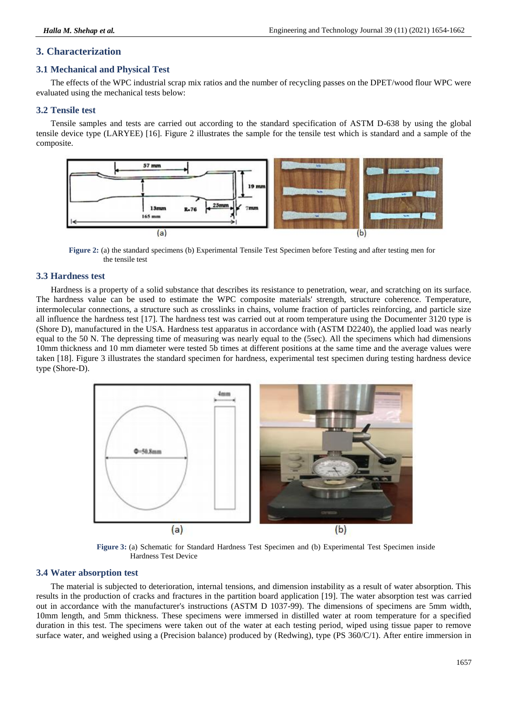# **3. Characterization**

# **3.1 Mechanical and Physical Test**

The effects of the WPC industrial scrap mix ratios and the number of recycling passes on the DPET/wood flour WPC were evaluated using the mechanical tests below:

# **3.2 Tensile test**

Tensile samples and tests are carried out according to the standard specification of ASTM D-638 by using the global tensile device type (LARYEE) [16]. Figure 2 illustrates the sample for the tensile test which is standard and a sample of the composite.



**Figure 2:** (a) the standard specimens (b) Experimental Tensile Test Specimen before Testing and after testing men for the tensile test

# **3.3 Hardness test**

Hardness is a property of a solid substance that describes its resistance to penetration, wear, and scratching on its surface. The hardness value can be used to estimate the WPC composite materials' strength, structure coherence. Temperature, intermolecular connections, a structure such as crosslinks in chains, volume fraction of particles reinforcing, and particle size all influence the hardness test [17]. The hardness test was carried out at room temperature using the Documenter 3120 type is (Shore D), manufactured in the USA. Hardness test apparatus in accordance with (ASTM D2240), the applied load was nearly equal to the 50 N. The depressing time of measuring was nearly equal to the (5sec). All the specimens which had dimensions 10mm thickness and 10 mm diameter were tested 5b times at different positions at the same time and the average values were taken [18]. Figure 3 illustrates the standard specimen for hardness, experimental test specimen during testing hardness device type (Shore-D).



**Figure 3:** (a) Schematic for Standard Hardness Test Specimen and (b) Experimental Test Specimen inside Hardness Test Device

# **3.4 Water absorption test**

The material is subjected to deterioration, internal tensions, and dimension instability as a result of water absorption. This results in the production of cracks and fractures in the partition board application [19]. The water absorption test was carried out in accordance with the manufacturer's instructions (ASTM D 1037-99). The dimensions of specimens are 5mm width, 10mm length, and 5mm thickness. These specimens were immersed in distilled water at room temperature for a specified duration in this test. The specimens were taken out of the water at each testing period, wiped using tissue paper to remove surface water, and weighed using a (Precision balance) produced by (Redwing), type (PS 360/C/1). After entire immersion in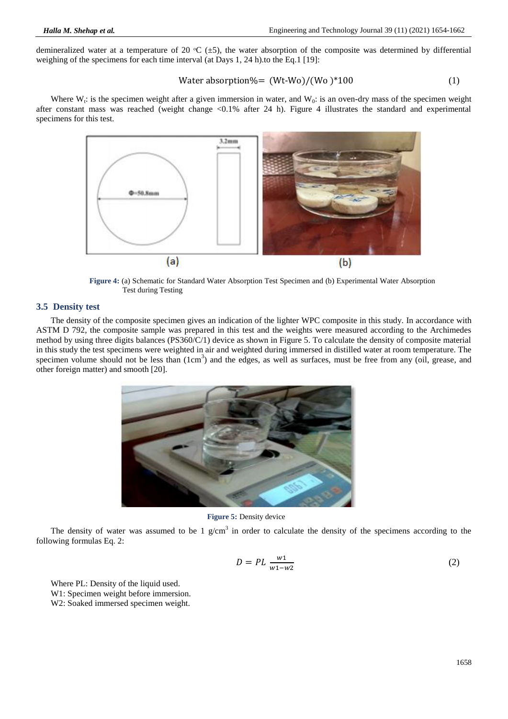demineralized water at a temperature of 20  $\textdegree$ C ( $\pm$ 5), the water absorption of the composite was determined by differential weighing of the specimens for each time interval (at Days 1, 24 h).to the Eq.1 [19]:

Water absorption% = 
$$
(Wt-Wo)/(Wo)*100
$$
 (1)

Where  $W_t$ : is the specimen weight after a given immersion in water, and  $W_0$ : is an oven-dry mass of the specimen weight after constant mass was reached (weight change <0.1% after 24 h). Figure 4 illustrates the standard and experimental specimens for this test.



**Figure 4:** (a) Schematic for Standard Water Absorption Test Specimen and (b) Experimental Water Absorption Test during Testing

#### **3.5 Density test**

The density of the composite specimen gives an indication of the lighter WPC composite in this study. In accordance with ASTM D 792, the composite sample was prepared in this test and the weights were measured according to the Archimedes method by using three digits balances (PS360/C/1) device as shown in Figure 5. To calculate the density of composite material in this study the test specimens were weighted in air and weighted during immersed in distilled water at room temperature. The specimen volume should not be less than  $(1cm<sup>3</sup>)$  and the edges, as well as surfaces, must be free from any (oil, grease, and other foreign matter) and smooth [20].



**Figure 5:** Density device

The density of water was assumed to be 1  $g/cm<sup>3</sup>$  in order to calculate the density of the specimens according to the following formulas Eq. 2:

$$
D = PL \frac{w_1}{w_1 - w_2} \tag{2}
$$

Where PL: Density of the liquid used. W1: Specimen weight before immersion. W2: Soaked immersed specimen weight.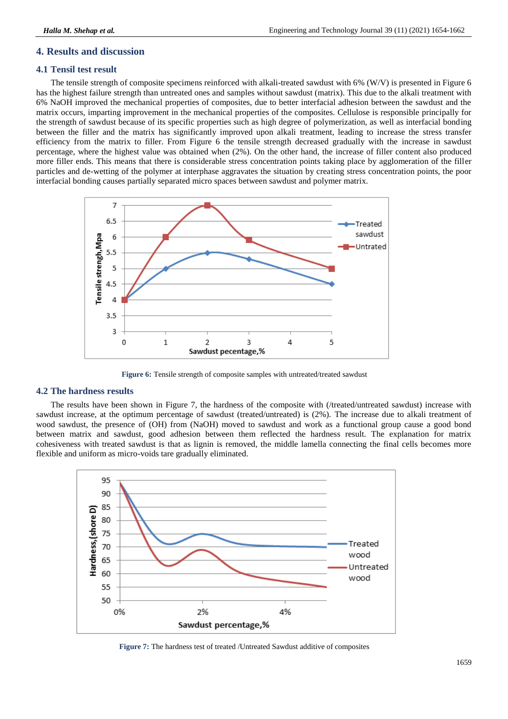# **4. Results and discussion**

# **4.1 Tensil test result**

The tensile strength of composite specimens reinforced with alkali-treated sawdust with 6% (W/V) is presented in Figure 6 has the highest failure strength than untreated ones and samples without sawdust (matrix). This due to the alkali treatment with 6% NaOH improved the mechanical properties of composites, due to better interfacial adhesion between the sawdust and the matrix occurs, imparting improvement in the mechanical properties of the composites. Cellulose is responsible principally for the strength of sawdust because of its specific properties such as high degree of polymerization, as well as interfacial bonding between the filler and the matrix has significantly improved upon alkali treatment, leading to increase the stress transfer efficiency from the matrix to filler. From Figure 6 the tensile strength decreased gradually with the increase in sawdust percentage, where the highest value was obtained when (2%). On the other hand, the increase of filler content also produced more filler ends. This means that there is considerable stress concentration points taking place by agglomeration of the filler particles and de-wetting of the polymer at interphase aggravates the situation by creating stress concentration points, the poor interfacial bonding causes partially separated micro spaces between sawdust and polymer matrix.



**Figure 6:** Tensile strength of composite samples with untreated/treated sawdust

## **4.2 The hardness results**

The results have been shown in Figure 7, the hardness of the composite with (/treated/untreated sawdust) increase with sawdust increase, at the optimum percentage of sawdust (treated/untreated) is (2%). The increase due to alkali treatment of wood sawdust, the presence of (OH) from (NaOH) moved to sawdust and work as a functional group cause a good bond between matrix and sawdust, good adhesion between them reflected the hardness result. The explanation for matrix cohesiveness with treated sawdust is that as lignin is removed, the middle lamella connecting the final cells becomes more flexible and uniform as micro-voids tare gradually eliminated.



**Figure 7:** The hardness test of treated /Untreated Sawdust additive of composites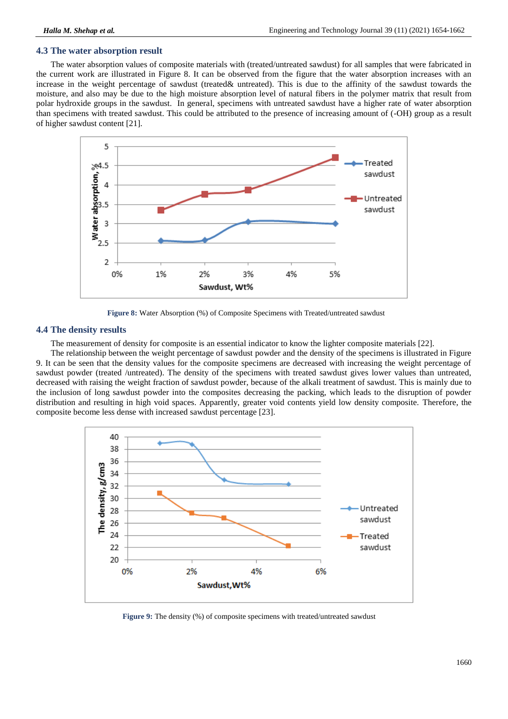# **4.3 The water absorption result**

The water absorption values of composite materials with (treated/untreated sawdust) for all samples that were fabricated in the current work are illustrated in Figure 8. It can be observed from the figure that the water absorption increases with an increase in the weight percentage of sawdust (treated& untreated). This is due to the affinity of the sawdust towards the moisture, and also may be due to the high moisture absorption level of natural fibers in the polymer matrix that result from polar hydroxide groups in the sawdust. In general, specimens with untreated sawdust have a higher rate of water absorption than specimens with treated sawdust. This could be attributed to the presence of increasing amount of (-OH) group as a result of higher sawdust content [21].



**Figure 8:** Water Absorption (%) of Composite Specimens with Treated/untreated sawdust

## **4.4 The density results**

The measurement of density for composite is an essential indicator to know the lighter composite materials [22].

The relationship between the weight percentage of sawdust powder and the density of the specimens is illustrated in Figure 9. It can be seen that the density values for the composite specimens are decreased with increasing the weight percentage of sawdust powder (treated /untreated). The density of the specimens with treated sawdust gives lower values than untreated, decreased with raising the weight fraction of sawdust powder, because of the alkali treatment of sawdust. This is mainly due to the inclusion of long sawdust powder into the composites decreasing the packing, which leads to the disruption of powder distribution and resulting in high void spaces. Apparently, greater void contents yield low density composite. Therefore, the composite become less dense with increased sawdust percentage [23].



**Figure 9:** The density (%) of composite specimens with treated/untreated sawdust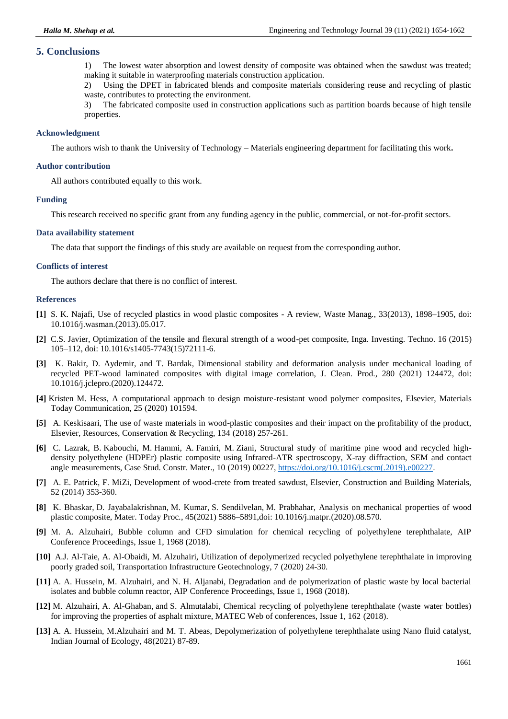#### **5. Conclusions**

1) The lowest water absorption and lowest density of composite was obtained when the sawdust was treated; making it suitable in waterproofing materials construction application.

2) Using the DPET in fabricated blends and composite materials considering reuse and recycling of plastic waste, contributes to protecting the environment.

3) The fabricated composite used in construction applications such as partition boards because of high tensile properties.

#### **Acknowledgment**

The authors wish to thank the University of Technology – Materials engineering department for facilitating this work**.**

#### **Author contribution**

All authors contributed equally to this work.

#### **Funding**

This research received no specific grant from any funding agency in the public, commercial, or not-for-profit sectors.

#### **Data availability statement**

The data that support the findings of this study are available on request from the corresponding author.

#### **Conflicts of interest**

The authors declare that there is no conflict of interest.

#### **References**

- **[1]** S. K. Najafi, Use of recycled plastics in wood plastic composites A review, Waste Manag*.*, 33(2013), 1898–1905, doi: 10.1016/j.wasman.(2013).05.017.
- **[2]** C.S. Javier, Optimization of the tensile and flexural strength of a wood-pet composite, Inga. Investing. Techno. 16 (2015) 105–112, doi: 10.1016/s1405-7743(15)72111-6.
- **[3]** K. Bakir, D. Aydemir, and T. Bardak, Dimensional stability and deformation analysis under mechanical loading of recycled PET-wood laminated composites with digital image correlation, J. Clean. Prod., 280 (2021) 124472, doi: 10.1016/j.jclepro.(2020).124472.
- **[4]** Kristen M. Hess, A computational approach to design moisture-resistant wood polymer composites, Elsevier, Materials Today Communication, 25 (2020) 101594.
- **[5]** A. Keskisaari, The use of waste materials in wood-plastic composites and their impact on the profitability of the product, Elsevier, Resources, Conservation & Recycling, 134 (2018) 257-261.
- **[6]** C. Lazrak, B. Kabouchi, M. Hammi, A. Famiri, M. Ziani, Structural study of maritime pine wood and recycled highdensity polyethylene (HDPEr) plastic composite using Infrared-ATR spectroscopy, X-ray diffraction, SEM and contact angle measurements, Case Stud. Constr. Mater., 10 (2019) 00227, [https://doi.org/10.1016/j.cscm\(.2019\).e00227.](https://doi.org/10.1016/j.cscm(.2019).e00227)
- **[7]** A. E. Patrick, F. [MiZi,](https://www.cabdirect.org/cabdirect/search/?q=au%3a%22Fan+MiZi%22) Development of wood-crete from treated sawdust, Elsevier, Construction and Building Materials, 52 (2014) 353-360.
- **[8]** [K. Bhaskar,](https://www.semanticscholar.org/author/K.-Bhaskar/89249235) [D. Jayabalakrishnan,](https://www.semanticscholar.org/author/D.-Jayabalakrishnan/97525714) [M. Kumar,](https://www.semanticscholar.org/author/M.-Kumar/144247408) [S. Sendilvelan,](https://www.semanticscholar.org/author/S.-Sendilvelan/71588221) [M. Prabhahar,](https://www.semanticscholar.org/author/M.-Prabhahar/31105735) Analysis on mechanical properties of wood plastic composite, Mater. Today Proc*.*, 45(2021) 5886–5891,doi: 10.1016/j.matpr.(2020).08.570.
- **[9]** M. A. Alzuhairi, Bubble column and CFD simulation for chemical recycling of polyethylene terephthalate, AIP Conference Proceedings, Issue 1, 1968 (2018).
- **[10]** A.J. Al-Taie, A. Al-Obaidi, M. Alzuhairi, Utilization of depolymerized recycled polyethylene terephthalate in improving poorly graded soil, Transportation Infrastructure Geotechnology, 7 (2020) 24-30.
- **[11]** A. A. Hussein, M. Alzuhairi, and N. H. Aljanabi, Degradation and de polymerization of plastic waste by local bacterial isolates and bubble column reactor, AIP Conference Proceedings, Issue 1, 1968 (2018).
- **[12]** M. Alzuhairi, A. Al-Ghaban, and S. Almutalabi, Chemical recycling of polyethylene terephthalate (waste water bottles) for improving the properties of asphalt mixture, MATEC Web of conferences, Issue 1, 162 (2018).
- **[13]** A. A. Hussein, M.Alzuhairi and M. T. Abeas, Depolymerization of polyethylene terephthalate using Nano fluid catalyst, Indian Journal of Ecology, 48(2021) 87-89.